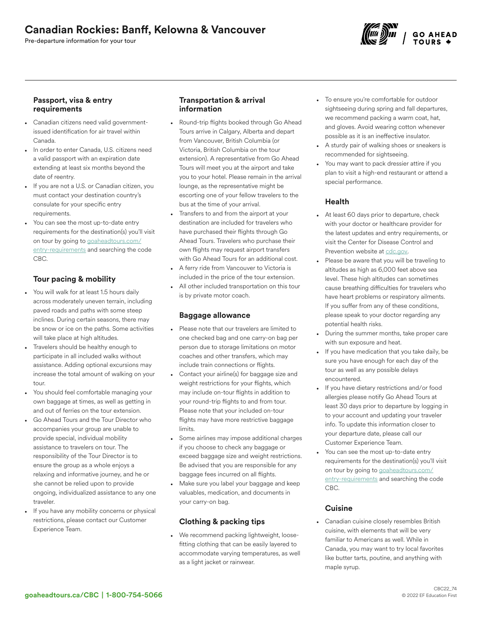# Canadian Rockies: Banff, Kelowna & Vancouver

Pre-departure information for your tour



### Passport, visa & entry requirements

- Canadian citizens need valid governmentissued identification for air travel within Canada.
- In order to enter Canada, U.S. citizens need a valid passport with an expiration date extending at least six months beyond the date of reentry.
- If you are not a U.S. or Canadian citizen, you must contact your destination country's consulate for your specific entry requirements.
- You can see the most up-to-date entry requirements for the destination(s) you'll visit on tour by going to [goaheadtours.com/](/entry-requirements?tourCode=CBC) [entry-requirements](/entry-requirements?tourCode=CBC) and searching the code CBC.

# Tour pacing & mobility

- You will walk for at least 1.5 hours daily across moderately uneven terrain, including paved roads and paths with some steep inclines. During certain seasons, there may be snow or ice on the paths. Some activities will take place at high altitudes.
- Travelers should be healthy enough to participate in all included walks without assistance. Adding optional excursions may increase the total amount of walking on your tour.
- You should feel comfortable managing your own baggage at times, as well as getting in and out of ferries on the tour extension.
- Go Ahead Tours and the Tour Director who accompanies your group are unable to provide special, individual mobility assistance to travelers on tour. The responsibility of the Tour Director is to ensure the group as a whole enjoys a relaxing and informative journey, and he or she cannot be relied upon to provide ongoing, individualized assistance to any one traveler.
- If you have any mobility concerns or physical restrictions, please contact our Customer Experience Team.

## Transportation & arrival information

- Round-trip flights booked through Go Ahead Tours arrive in Calgary, Alberta and depart from Vancouver, British Columbia (or Victoria, British Columbia on the tour extension). A representative from Go Ahead Tours will meet you at the airport and take you to your hotel. Please remain in the arrival lounge, as the representative might be escorting one of your fellow travelers to the bus at the time of your arrival.
- Transfers to and from the airport at your destination are included for travelers who have purchased their flights through Go Ahead Tours. Travelers who purchase their own flights may request airport transfers with Go Ahead Tours for an additional cost.
- A ferry ride from Vancouver to Victoria is included in the price of the tour extension. All other included transportation on this tour is by private motor coach.

## Baggage allowance

- Please note that our travelers are limited to one checked bag and one carry-on bag per person due to storage limitations on motor coaches and other transfers, which may include train connections or flights.
- Contact your airline(s) for baggage size and weight restrictions for your flights, which may include on-tour flights in addition to your round-trip flights to and from tour. Please note that your included on-tour flights may have more restrictive baggage limits.
- Some airlines may impose additional charges if you choose to check any baggage or exceed baggage size and weight restrictions. Be advised that you are responsible for any baggage fees incurred on all flights.
- Make sure you label your baggage and keep valuables, medication, and documents in your carry-on bag.

## Clothing & packing tips

• We recommend packing lightweight, loosefitting clothing that can be easily layered to accommodate varying temperatures, as well as a light jacket or rainwear.

- To ensure you're comfortable for outdoor sightseeing during spring and fall departures, we recommend packing a warm coat, hat, and gloves. Avoid wearing cotton whenever possible as it is an ineffective insulator.
- A sturdy pair of walking shoes or sneakers is recommended for sightseeing.
- You may want to pack dressier attire if you plan to visit a high-end restaurant or attend a special performance.

## Health

- At least 60 days prior to departure, check with your doctor or healthcare provider for the latest updates and entry requirements, or visit the Center for Disease Control and Prevention website at [cdc.gov.](https://www.cdc.gov/)
- Please be aware that you will be traveling to altitudes as high as 6,000 feet above sea level. These high altitudes can sometimes cause breathing difficulties for travelers who have heart problems or respiratory ailments. If you suffer from any of these conditions, please speak to your doctor regarding any potential health risks.
- During the summer months, take proper care with sun exposure and heat.
- If you have medication that you take daily, be sure you have enough for each day of the tour as well as any possible delays encountered.
- If you have dietary restrictions and/or food allergies please notify Go Ahead Tours at least 30 days prior to departure by logging in to your account and updating your traveler info. To update this information closer to your departure date, please call our Customer Experience Team.
- You can see the most up-to-date entry requirements for the destination(s) you'll visit on tour by going to [goaheadtours.com/](/entry-requirements?tourCode=CBC) [entry-requirements](/entry-requirements?tourCode=CBC) and searching the code CBC.

## **Cuisine**

• Canadian cuisine closely resembles British cuisine, with elements that will be very familiar to Americans as well. While in Canada, you may want to try local favorites like butter tarts, poutine, and anything with maple syrup.